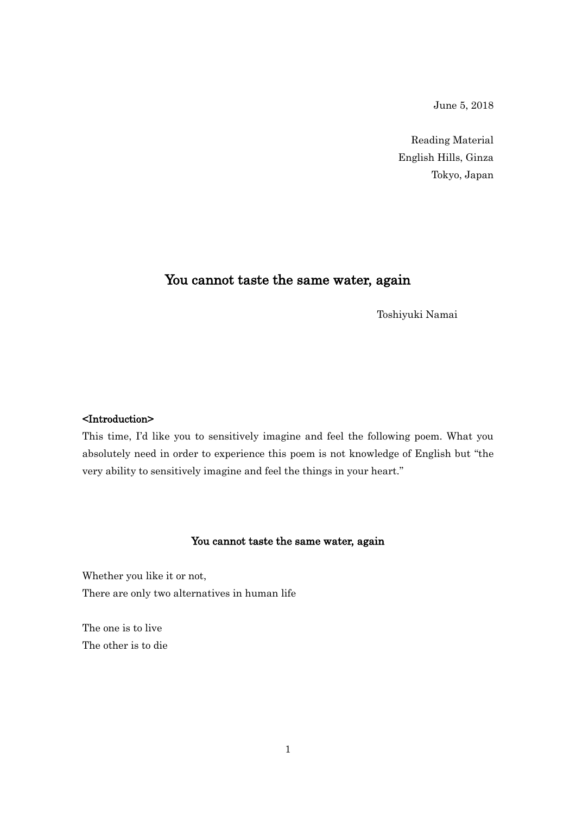June 5, 2018

Reading Material English Hills, Ginza Tokyo, Japan

# You cannot taste the same water, again

Toshiyuki Namai

## <Introduction>

This time, I'd like you to sensitively imagine and feel the following poem. What you absolutely need in order to experience this poem is not knowledge of English but "the very ability to sensitively imagine and feel the things in your heart."

#### You cannot taste the same water, again

Whether you like it or not, There are only two alternatives in human life

The one is to live The other is to die